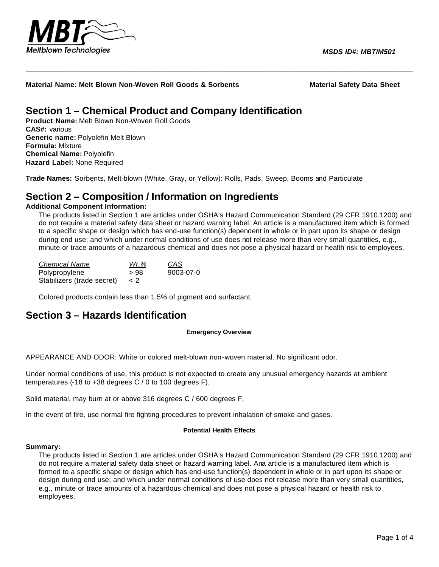

*MSDS ID#: MBT/M501*

**Material Name: Melt Blown Non-Woven Roll Goods & Sorbents Material Safety Data Sheet**

## **Section 1 – Chemical Product and Company Identification**

**Product Name:** Melt Blown Non-Woven Roll Goods **CAS#:** various **Generic name:** Polyolefin Melt Blown **Formula:** Mixture **Chemical Name:** Polyolefin **Hazard Label:** None Required

**Trade Names:** Sorbents, Melt-blown (White, Gray, or Yellow): Rolls, Pads, Sweep, Booms and Particulate

## **Section 2 – Composition / Information on Ingredients**

#### **Additional Component Information:**

The products listed in Section 1 are articles under OSHA's Hazard Communication Standard (29 CFR 1910.1200) and do not require a material safety data sheet or hazard warning label. An article is a manufactured item which is formed to a specific shape or design which has end-use function(s) dependent in whole or in part upon its shape or design during end use; and which under normal conditions of use does not release more than very small quantities, e.g., minute or trace amounts of a hazardous chemical and does not pose a physical hazard or health risk to employees.

\_\_\_\_\_\_\_\_\_\_\_\_\_\_\_\_\_\_\_\_\_\_\_\_\_\_\_\_\_\_\_\_\_\_\_\_\_\_\_\_\_\_\_\_\_\_\_\_\_\_\_\_\_\_\_\_\_\_\_\_\_\_\_\_\_\_\_\_\_\_\_\_\_\_\_\_\_\_\_\_\_\_\_\_\_\_\_\_\_\_

| <b>Chemical Name</b>       | Wt.% | CAS       |
|----------------------------|------|-----------|
| Polypropylene              | > 98 | 9003-07-0 |
| Stabilizers (trade secret) | < 2  |           |

Colored products contain less than 1.5% of pigment and surfactant.

## **Section 3 – Hazards Identification**

#### **Emergency Overview**

APPEARANCE AND ODOR: White or colored melt-blown non-woven material. No significant odor.

Under normal conditions of use, this product is not expected to create any unusual emergency hazards at ambient temperatures (-18 to +38 degrees C / 0 to 100 degrees F).

Solid material, may burn at or above 316 degrees C / 600 degrees F.

In the event of fire, use normal fire fighting procedures to prevent inhalation of smoke and gases.

#### **Potential Health Effects**

#### **Summary:**

The products listed in Section 1 are articles under OSHA's Hazard Communication Standard (29 CFR 1910.1200) and do not require a material safety data sheet or hazard warning label. Ana article is a manufactured item which is formed to a specific shape or design which has end-use function(s) dependent in whole or in part upon its shape or design during end use; and which under normal conditions of use does not release more than very small quantities, e.g., minute or trace amounts of a hazardous chemical and does not pose a physical hazard or health risk to employees.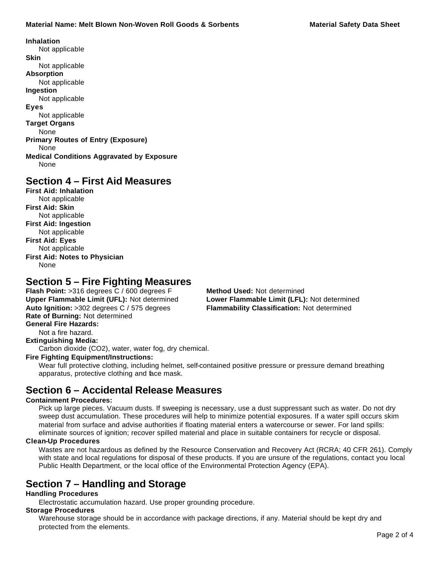**Inhalation** Not applicable **Skin** Not applicable **Absorption** Not applicable **Ingestion** Not applicable **Eyes** Not applicable **Target Organs** None **Primary Routes of Entry (Exposure)** None **Medical Conditions Aggravated by Exposure** None

## **Section 4 – First Aid Measures**

**First Aid: Inhalation** Not applicable **First Aid: Skin** Not applicable **First Aid: Ingestion** Not applicable **First Aid: Eyes** Not applicable **First Aid: Notes to Physician** None

## **Section 5 – Fire Fighting Measures**

**Flash Point:** >316 degrees C / 600 degrees F **Method Used:** Not determined **Upper Flammable Limit (UFL):** Not determined **Lower Flammable Limit (LFL):** Not determined **Auto Ignition:** >302 degrees C / 575 degrees **Flammability Classification:** Not determined **Rate of Burning:** Not determined **General Fire Hazards:**

Not a fire hazard.

**Extinguishing Media:**

Carbon dioxide (CO2), water, water fog, dry chemical.

### **Fire Fighting Equipment/Instructions:**

Wear full protective clothing, including helmet, self-contained positive pressure or pressure demand breathing apparatus, protective clothing and face mask.

## **Section 6 – Accidental Release Measures**

#### **Containment Procedures:**

Pick up large pieces. Vacuum dusts. If sweeping is necessary, use a dust suppressant such as water. Do not dry sweep dust accumulation. These procedures will help to minimize potential exposures. If a water spill occurs skim material from surface and advise authorities if floating material enters a watercourse or sewer. For land spills: eliminate sources of ignition; recover spilled material and place in suitable containers for recycle or disposal.

### **Clean-Up Procedures**

Wastes are not hazardous as defined by the Resource Conservation and Recovery Act (RCRA; 40 CFR 261). Comply with state and local regulations for disposal of these products. If you are unsure of the regulations, contact you local Public Health Department, or the local office of the Environmental Protection Agency (EPA).

## **Section 7 – Handling and Storage**

### **Handling Procedures**

Electrostatic accumulation hazard. Use proper grounding procedure.

### **Storage Procedures**

Warehouse storage should be in accordance with package directions, if any. Material should be kept dry and protected from the elements.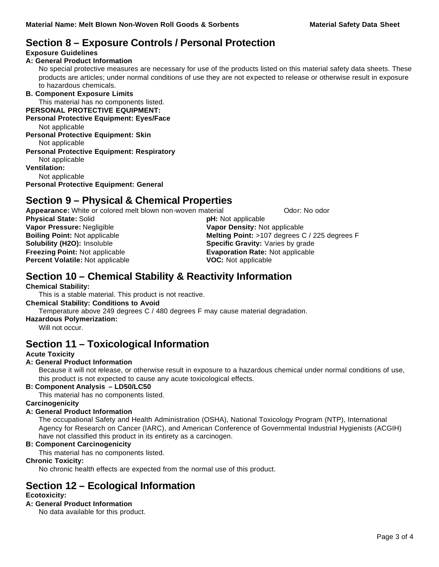# **Section 8 – Exposure Controls / Personal Protection**

### **Exposure Guidelines**

#### **A: General Product Information**

No special protective measures are necessary for use of the products listed on this material safety data sheets. These products are articles; under normal conditions of use they are not expected to release or otherwise result in exposure to hazardous chemicals.

#### **B. Component Exposure Limits**

This material has no components listed.

## **PERSONAL PROTECTIVE EQUIPMENT:**

**Personal Protective Equipment: Eyes/Face**

Not applicable

**Personal Protective Equipment: Skin** Not applicable

### **Personal Protective Equipment: Respiratory**

Not applicable

**Ventilation:**

Not applicable

**Personal Protective Equipment: General**

## **Section 9 – Physical & Chemical Properties**

**Appearance:** White or colored melt blown non-woven material **Concept Contains Colon**: No odor

| <b>Physical State: Solid</b>            | <b>pH:</b> Not applicable                     |  |
|-----------------------------------------|-----------------------------------------------|--|
| Vapor Pressure: Negligible              | Vapor Density: Not applicable                 |  |
| <b>Boiling Point: Not applicable</b>    | Melting Point: >107 degrees C / 225 degrees F |  |
| Solubility (H2O): Insoluble             | <b>Specific Gravity: Varies by grade</b>      |  |
| <b>Freezing Point: Not applicable</b>   | <b>Evaporation Rate: Not applicable</b>       |  |
| <b>Percent Volatile: Not applicable</b> | <b>VOC:</b> Not applicable                    |  |
|                                         |                                               |  |

## **Section 10 – Chemical Stability & Reactivity Information**

### **Chemical Stability:**

This is a stable material. This product is not reactive.

#### **Chemical Stability: Conditions to Avoid**

Temperature above 249 degrees C / 480 degrees F may cause material degradation.

### **Hazardous Polymerization:**

Will not occur.

## **Section 11 – Toxicological Information**

### **Acute Toxicity**

### **A: General Product Information**

Because it will not release, or otherwise result in exposure to a hazardous chemical under normal conditions of use, this product is not expected to cause any acute toxicological effects.

### **B: Component Analysis – LD50/LC50**

This material has no components listed.

## **Carcinogenicity**

### **A: General Product Information**

The occupational Safety and Health Administration (OSHA), National Toxicology Program (NTP), International Agency for Research on Cancer (IARC), and American Conference of Governmental Industrial Hygienists (ACGIH) have not classified this product in its entirety as a carcinogen.

### **B: Component Carcinogenicity**

This material has no components listed.

### **Chronic Toxicity:**

No chronic health effects are expected from the normal use of this product.

## **Section 12 – Ecological Information**

### **Ecotoxicity:**

### **A: General Product Information**

No data available for this product.